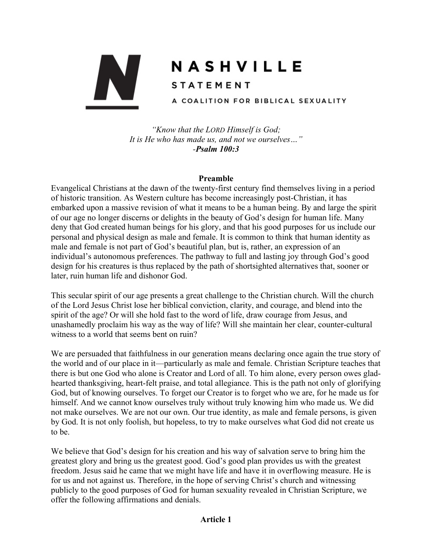

*"Know that the LORD Himself is God; It is He who has made us, and not we ourselves…" -Psalm 100:3*

#### **Preamble**

Evangelical Christians at the dawn of the twenty-first century find themselves living in a period of historic transition. As Western culture has become increasingly post-Christian, it has embarked upon a massive revision of what it means to be a human being. By and large the spirit of our age no longer discerns or delights in the beauty of God's design for human life. Many deny that God created human beings for his glory, and that his good purposes for us include our personal and physical design as male and female. It is common to think that human identity as male and female is not part of God's beautiful plan, but is, rather, an expression of an individual's autonomous preferences. The pathway to full and lasting joy through God's good design for his creatures is thus replaced by the path of shortsighted alternatives that, sooner or later, ruin human life and dishonor God.

This secular spirit of our age presents a great challenge to the Christian church. Will the church of the Lord Jesus Christ lose her biblical conviction, clarity, and courage, and blend into the spirit of the age? Or will she hold fast to the word of life, draw courage from Jesus, and unashamedly proclaim his way as the way of life? Will she maintain her clear, counter-cultural witness to a world that seems bent on ruin?

We are persuaded that faithfulness in our generation means declaring once again the true story of the world and of our place in it—particularly as male and female. Christian Scripture teaches that there is but one God who alone is Creator and Lord of all. To him alone, every person owes gladhearted thanksgiving, heart-felt praise, and total allegiance. This is the path not only of glorifying God, but of knowing ourselves. To forget our Creator is to forget who we are, for he made us for himself. And we cannot know ourselves truly without truly knowing him who made us. We did not make ourselves. We are not our own. Our true identity, as male and female persons, is given by God. It is not only foolish, but hopeless, to try to make ourselves what God did not create us to be.

We believe that God's design for his creation and his way of salvation serve to bring him the greatest glory and bring us the greatest good. God's good plan provides us with the greatest freedom. Jesus said he came that we might have life and have it in overflowing measure. He is for us and not against us. Therefore, in the hope of serving Christ's church and witnessing publicly to the good purposes of God for human sexuality revealed in Christian Scripture, we offer the following affirmations and denials.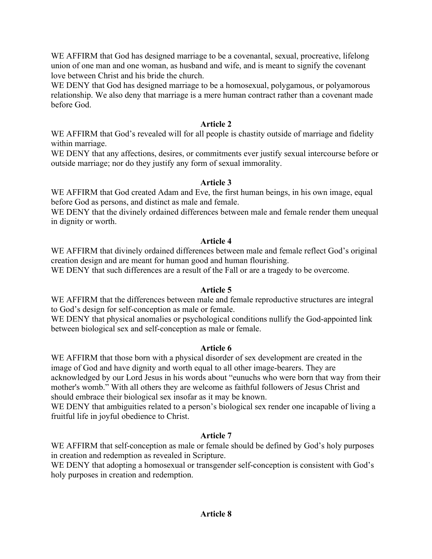WE AFFIRM that God has designed marriage to be a covenantal, sexual, procreative, lifelong union of one man and one woman, as husband and wife, and is meant to signify the covenant love between Christ and his bride the church.

WE DENY that God has designed marriage to be a homosexual, polygamous, or polyamorous relationship. We also deny that marriage is a mere human contract rather than a covenant made before God.

### **Article 2**

WE AFFIRM that God's revealed will for all people is chastity outside of marriage and fidelity within marriage.

WE DENY that any affections, desires, or commitments ever justify sexual intercourse before or outside marriage; nor do they justify any form of sexual immorality.

# **Article 3**

WE AFFIRM that God created Adam and Eve, the first human beings, in his own image, equal before God as persons, and distinct as male and female.

WE DENY that the divinely ordained differences between male and female render them unequal in dignity or worth.

# **Article 4**

WE AFFIRM that divinely ordained differences between male and female reflect God's original creation design and are meant for human good and human flourishing.

WE DENY that such differences are a result of the Fall or are a tragedy to be overcome.

# **Article 5**

WE AFFIRM that the differences between male and female reproductive structures are integral to God's design for self-conception as male or female.

WE DENY that physical anomalies or psychological conditions nullify the God-appointed link between biological sex and self-conception as male or female.

### **Article 6**

WE AFFIRM that those born with a physical disorder of sex development are created in the image of God and have dignity and worth equal to all other image-bearers. They are acknowledged by our Lord Jesus in his words about "eunuchs who were born that way from their mother's womb." With all others they are welcome as faithful followers of Jesus Christ and should embrace their biological sex insofar as it may be known.

WE DENY that ambiguities related to a person's biological sex render one incapable of living a fruitful life in joyful obedience to Christ.

# **Article 7**

WE AFFIRM that self-conception as male or female should be defined by God's holy purposes in creation and redemption as revealed in Scripture.

WE DENY that adopting a homosexual or transgender self-conception is consistent with God's holy purposes in creation and redemption.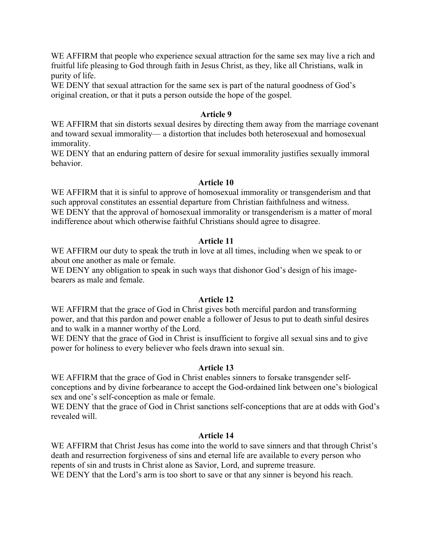WE AFFIRM that people who experience sexual attraction for the same sex may live a rich and fruitful life pleasing to God through faith in Jesus Christ, as they, like all Christians, walk in purity of life.

WE DENY that sexual attraction for the same sex is part of the natural goodness of God's original creation, or that it puts a person outside the hope of the gospel.

#### **Article 9**

WE AFFIRM that sin distorts sexual desires by directing them away from the marriage covenant and toward sexual immorality— a distortion that includes both heterosexual and homosexual immorality.

WE DENY that an enduring pattern of desire for sexual immorality justifies sexually immoral behavior.

### **Article 10**

WE AFFIRM that it is sinful to approve of homosexual immorality or transgenderism and that such approval constitutes an essential departure from Christian faithfulness and witness. WE DENY that the approval of homosexual immorality or transgenderism is a matter of moral indifference about which otherwise faithful Christians should agree to disagree.

### **Article 11**

WE AFFIRM our duty to speak the truth in love at all times, including when we speak to or about one another as male or female.

WE DENY any obligation to speak in such ways that dishonor God's design of his imagebearers as male and female.

#### **Article 12**

WE AFFIRM that the grace of God in Christ gives both merciful pardon and transforming power, and that this pardon and power enable a follower of Jesus to put to death sinful desires and to walk in a manner worthy of the Lord.

WE DENY that the grace of God in Christ is insufficient to forgive all sexual sins and to give power for holiness to every believer who feels drawn into sexual sin.

### **Article 13**

WE AFFIRM that the grace of God in Christ enables sinners to forsake transgender selfconceptions and by divine forbearance to accept the God-ordained link between one's biological sex and one's self-conception as male or female.

WE DENY that the grace of God in Christ sanctions self-conceptions that are at odds with God's revealed will.

#### **Article 14**

WE AFFIRM that Christ Jesus has come into the world to save sinners and that through Christ's death and resurrection forgiveness of sins and eternal life are available to every person who repents of sin and trusts in Christ alone as Savior, Lord, and supreme treasure. WE DENY that the Lord's arm is too short to save or that any sinner is beyond his reach.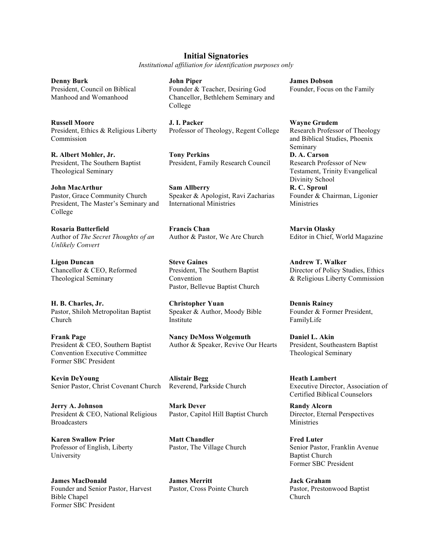#### **Initial Signatories**

*Institutional affiliation for identification purposes only*

**Denny Burk** President, Council on Biblical Manhood and Womanhood

**Russell Moore** President, Ethics & Religious Liberty Commission

**R. Albert Mohler, Jr.** President, The Southern Baptist Theological Seminary

**John MacArthur** Pastor, Grace Community Church President, The Master's Seminary and College

**Rosaria Butterfield** Author of *The Secret Thoughts of an Unlikely Convert*

**Ligon Duncan** Chancellor & CEO, Reformed Theological Seminary

**H. B. Charles, Jr.** Pastor, Shiloh Metropolitan Baptist Church

**Frank Page** President & CEO, Southern Baptist Convention Executive Committee Former SBC President

**Kevin DeYoung** Senior Pastor, Christ Covenant Church

**Jerry A. Johnson** President & CEO, National Religious Broadcasters

**Karen Swallow Prior** Professor of English, Liberty University

**James MacDonald** Founder and Senior Pastor, Harvest Bible Chapel Former SBC President

**John Piper** Founder & Teacher, Desiring God Chancellor, Bethlehem Seminary and College

**J. I. Packer** Professor of Theology, Regent College

**Tony Perkins** President, Family Research Council

**Sam Allberry** Speaker & Apologist, Ravi Zacharias International Ministries

**Francis Chan** Author & Pastor, We Are Church

**Steve Gaines** President, The Southern Baptist Convention Pastor, Bellevue Baptist Church

**Christopher Yuan** Speaker & Author, Moody Bible Institute

**Nancy DeMoss Wolgemuth** Author & Speaker, Revive Our Hearts

**Alistair Begg** Reverend, Parkside Church

**Mark Dever** Pastor, Capitol Hill Baptist Church

**Matt Chandler** Pastor, The Village Church

**James Merritt** Pastor, Cross Pointe Church

**James Dobson** Founder, Focus on the Family

**Wayne Grudem** Research Professor of Theology and Biblical Studies, Phoenix Seminary **D. A. Carson** Research Professor of New Testament, Trinity Evangelical Divinity School **R. C. Sproul** Founder & Chairman, Ligonier **Ministries** 

**Marvin Olasky** Editor in Chief, World Magazine

**Andrew T. Walker** Director of Policy Studies, Ethics & Religious Liberty Commission

**Dennis Rainey** Founder & Former President, FamilyLife

**Daniel L. Akin** President, Southeastern Baptist Theological Seminary

**Heath Lambert** Executive Director, Association of Certified Biblical Counselors

**Randy Alcorn** Director, Eternal Perspectives Ministries

**Fred Luter** Senior Pastor, Franklin Avenue Baptist Church Former SBC President

**Jack Graham** Pastor, Prestonwood Baptist Church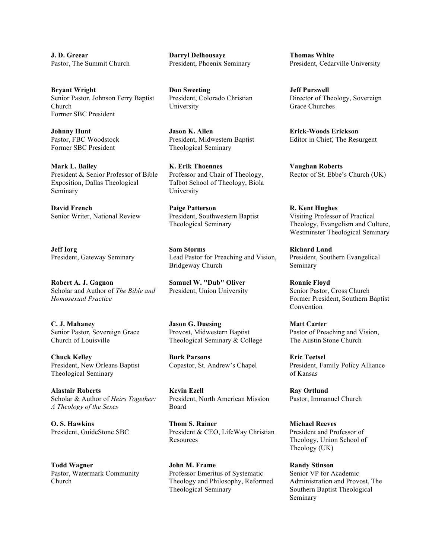**J. D. Greear** Pastor, The Summit Church

**Bryant Wright** Senior Pastor, Johnson Ferry Baptist Church Former SBC President

**Johnny Hunt** Pastor, FBC Woodstock Former SBC President

**Mark L. Bailey** President & Senior Professor of Bible Exposition, Dallas Theological Seminary

**David French** Senior Writer, National Review

**Jeff Iorg** President, Gateway Seminary

**Robert A. J. Gagnon** Scholar and Author of *The Bible and Homosexual Practice*

**C. J. Mahaney** Senior Pastor, Sovereign Grace Church of Louisville

**Chuck Kelley** President, New Orleans Baptist Theological Seminary

**Alastair Roberts** Scholar & Author of *Heirs Together: A Theology of the Sexes*

**O. S. Hawkins** President, GuideStone SBC

**Todd Wagner** Pastor, Watermark Community Church

**Darryl Delhousaye** President, Phoenix Seminary

**Don Sweeting** President, Colorado Christian University

**Jason K. Allen** President, Midwestern Baptist Theological Seminary

**K. Erik Thoennes** Professor and Chair of Theology, Talbot School of Theology, Biola University

**Paige Patterson** President, Southwestern Baptist Theological Seminary

**Sam Storms** Lead Pastor for Preaching and Vision, Bridgeway Church

**Samuel W. "Dub" Oliver** President, Union University

**Jason G. Duesing** Provost, Midwestern Baptist Theological Seminary & College

**Burk Parsons** Copastor, St. Andrew's Chapel

**Kevin Ezell** President, North American Mission Board

**Thom S. Rainer** President & CEO, LifeWay Christian **Resources** 

**John M. Frame** Professor Emeritus of Systematic Theology and Philosophy, Reformed Theological Seminary

**Thomas White** President, Cedarville University

**Jeff Purswell** Director of Theology, Sovereign Grace Churches

**Erick-Woods Erickson** Editor in Chief, The Resurgent

**Vaughan Roberts** Rector of St. Ebbe's Church (UK)

**R. Kent Hughes** Visiting Professor of Practical Theology, Evangelism and Culture, Westminster Theological Seminary

**Richard Land** President, Southern Evangelical Seminary

**Ronnie Floyd** Senior Pastor, Cross Church Former President, Southern Baptist Convention

**Matt Carter** Pastor of Preaching and Vision, The Austin Stone Church

**Eric Teetsel** President, Family Policy Alliance of Kansas

**Ray Ortlund** Pastor, Immanuel Church

**Michael Reeves** President and Professor of Theology, Union School of Theology (UK)

**Randy Stinson** Senior VP for Academic Administration and Provost, The Southern Baptist Theological Seminary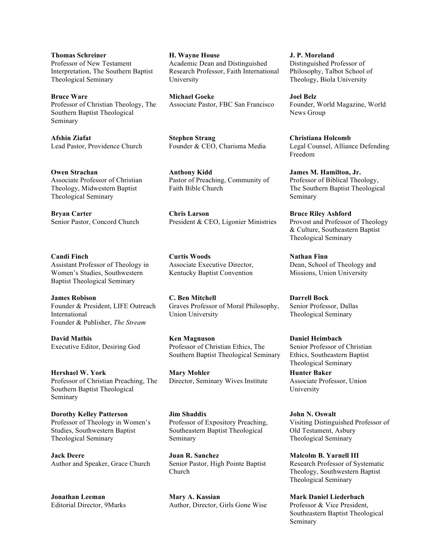**Thomas Schreiner** Professor of New Testament Interpretation, The Southern Baptist Theological Seminary

**Bruce Ware** Professor of Christian Theology, The Southern Baptist Theological Seminary

**Afshin Ziafat** Lead Pastor, Providence Church

**Owen Strachan** Associate Professor of Christian Theology, Midwestern Baptist Theological Seminary

**Bryan Carter** Senior Pastor, Concord Church

**Candi Finch** Assistant Professor of Theology in Women's Studies, Southwestern Baptist Theological Seminary

**James Robison** Founder & President, LIFE Outreach International Founder & Publisher, *The Stream*

**David Mathis** Executive Editor, Desiring God

**Hershael W. York** Professor of Christian Preaching, The Southern Baptist Theological Seminary

**Dorothy Kelley Patterson** Professor of Theology in Women's Studies, Southwestern Baptist Theological Seminary

**Jack Deere** Author and Speaker, Grace Church

**Jonathan Leeman** Editorial Director, 9Marks **H. Wayne House** Academic Dean and Distinguished Research Professor, Faith International University

**Michael Goeke** Associate Pastor, FBC San Francisco

**Stephen Strang** Founder & CEO, Charisma Media

**Anthony Kidd** Pastor of Preaching, Community of Faith Bible Church

**Chris Larson** President & CEO, Ligonier Ministries

**Curtis Woods** Associate Executive Director, Kentucky Baptist Convention

**C. Ben Mitchell** Graves Professor of Moral Philosophy, Union University

**Ken Magnuson** Professor of Christian Ethics, The Southern Baptist Theological Seminary

**Mary Mohler** Director, Seminary Wives Institute

**Jim Shaddix** Professor of Expository Preaching, Southeastern Baptist Theological Seminary

**Juan R. Sanchez** Senior Pastor, High Pointe Baptist Church

**Mary A. Kassian** Author, Director, Girls Gone Wise **J. P. Moreland** Distinguished Professor of Philosophy, Talbot School of Theology, Biola University

**Joel Belz** Founder, World Magazine, World News Group

**Christiana Holcomb** Legal Counsel, Alliance Defending Freedom

**James M. Hamilton, Jr.** Professor of Biblical Theology, The Southern Baptist Theological Seminary

**Bruce Riley Ashford** Provost and Professor of Theology & Culture, Southeastern Baptist Theological Seminary

**Nathan Finn** Dean, School of Theology and Missions, Union University

**Darrell Bock** Senior Professor, Dallas Theological Seminary

**Daniel Heimbach** Senior Professor of Christian Ethics, Southeastern Baptist Theological Seminary

**Hunter Baker** Associate Professor, Union University

**John N. Oswalt** Visiting Distinguished Professor of Old Testament, Asbury Theological Seminary

**Malcolm B. Yarnell III** Research Professor of Systematic Theology, Southwestern Baptist Theological Seminary

**Mark Daniel Liederbach** Professor & Vice President, Southeastern Baptist Theological Seminary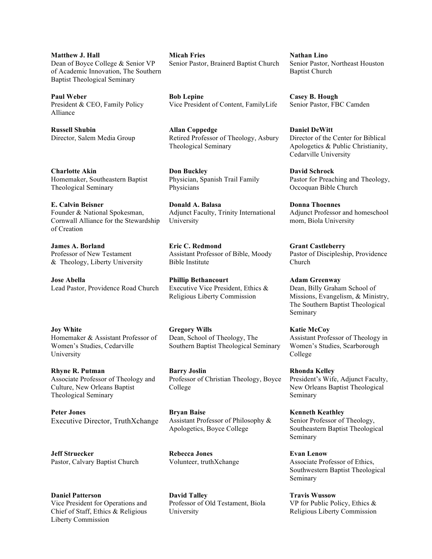**Matthew J. Hall** Dean of Boyce College & Senior VP of Academic Innovation, The Southern Baptist Theological Seminary

**Paul Weber** President & CEO, Family Policy Alliance

**Russell Shubin** Director, Salem Media Group

**Charlotte Akin** Homemaker, Southeastern Baptist Theological Seminary

**E. Calvin Beisner** Founder & National Spokesman, Cornwall Alliance for the Stewardship of Creation

**James A. Borland** Professor of New Testament & Theology, Liberty University

**Jose Abella** Lead Pastor, Providence Road Church

**Joy White** Homemaker & Assistant Professor of Women's Studies, Cedarville University

**Rhyne R. Putman** Associate Professor of Theology and Culture, New Orleans Baptist Theological Seminary

**Peter Jones** Executive Director, TruthXchange

**Jeff Struecker** Pastor, Calvary Baptist Church

**Daniel Patterson** Vice President for Operations and Chief of Staff, Ethics & Religious Liberty Commission

**Micah Fries** Senior Pastor, Brainerd Baptist Church

**Bob Lepine** Vice President of Content, FamilyLife

**Allan Coppedge** Retired Professor of Theology, Asbury Theological Seminary

**Don Buckley** Physician, Spanish Trail Family Physicians

**Donald A. Balasa** Adjunct Faculty, Trinity International University

**Eric C. Redmond** Assistant Professor of Bible, Moody Bible Institute

**Phillip Bethancourt** Executive Vice President, Ethics & Religious Liberty Commission

**Gregory Wills** Dean, School of Theology, The Southern Baptist Theological Seminary

**Barry Joslin** Professor of Christian Theology, Boyce College

**Bryan Baise** Assistant Professor of Philosophy & Apologetics, Boyce College

**Rebecca Jones** Volunteer, truthXchange

**David Talley** Professor of Old Testament, Biola University

**Nathan Lino** Senior Pastor, Northeast Houston Baptist Church

**Casey B. Hough** Senior Pastor, FBC Camden

**Daniel DeWitt** Director of the Center for Biblical Apologetics & Public Christianity, Cedarville University

**David Schrock** Pastor for Preaching and Theology, Occoquan Bible Church

**Donna Thoennes** Adjunct Professor and homeschool mom, Biola University

**Grant Castleberry** Pastor of Discipleship, Providence Church

**Adam Greenway** Dean, Billy Graham School of Missions, Evangelism, & Ministry, The Southern Baptist Theological Seminary

**Katie McCoy** Assistant Professor of Theology in Women's Studies, Scarborough College

**Rhonda Kelley** President's Wife, Adjunct Faculty, New Orleans Baptist Theological Seminary

**Kenneth Keathley** Senior Professor of Theology, Southeastern Baptist Theological Seminary

**Evan Lenow** Associate Professor of Ethics, Southwestern Baptist Theological Seminary

**Travis Wussow** VP for Public Policy, Ethics & Religious Liberty Commission